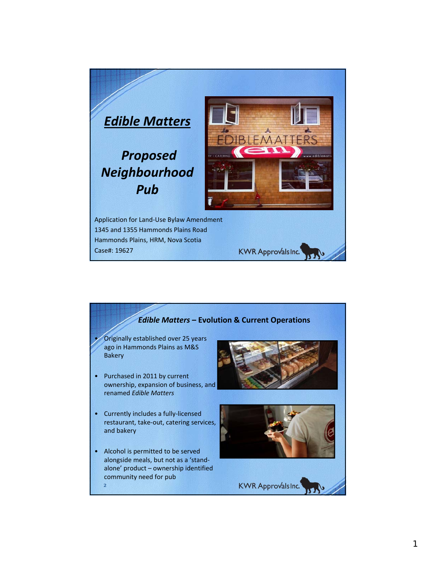

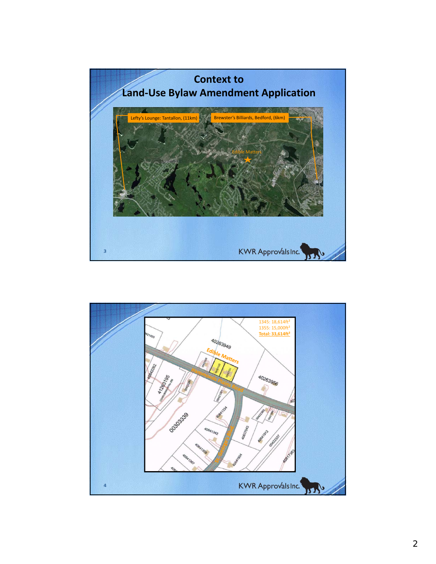

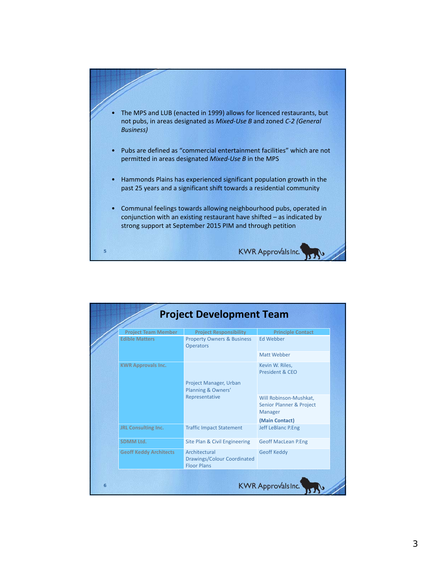

| <b>Project Team Member</b>    | <b>Project Responsibility</b>                                      | <b>Principle Contact</b>                                                                          |
|-------------------------------|--------------------------------------------------------------------|---------------------------------------------------------------------------------------------------|
| <b>Edible Matters</b>         | <b>Property Owners &amp; Business</b><br><b>Operators</b>          | Ed Webber                                                                                         |
|                               |                                                                    | Matt Webber                                                                                       |
| <b>KWR Approvals Inc.</b>     | Project Manager, Urban<br>Planning & Owners'                       | Kevin W. Riles,<br>President & CEO                                                                |
|                               | Representative                                                     | Will Robinson-Mushkat,<br><b>Senior Planner &amp; Project</b><br><b>Manager</b><br>(Main Contact) |
| JRL Consulting Inc.           | <b>Traffic Impact Statement</b>                                    | <b>Jeff LeBlanc P.Eng</b>                                                                         |
| <b>SDMM Ltd.</b>              | Site Plan & Civil Engineering                                      | <b>Geoff MacLean P.Eng</b>                                                                        |
| <b>Geoff Keddy Architects</b> | Architectural<br>Drawings/Colour Coordinated<br><b>Floor Plans</b> | <b>Geoff Keddy</b>                                                                                |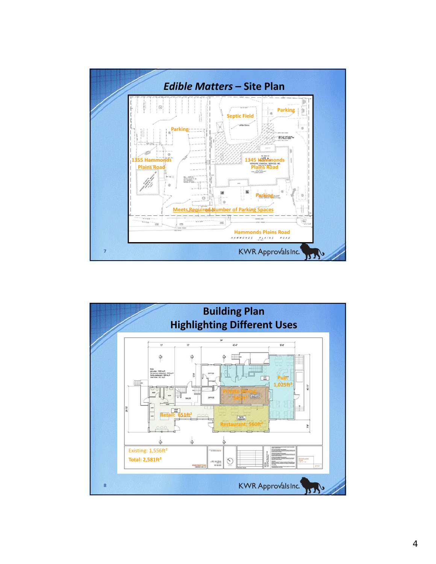

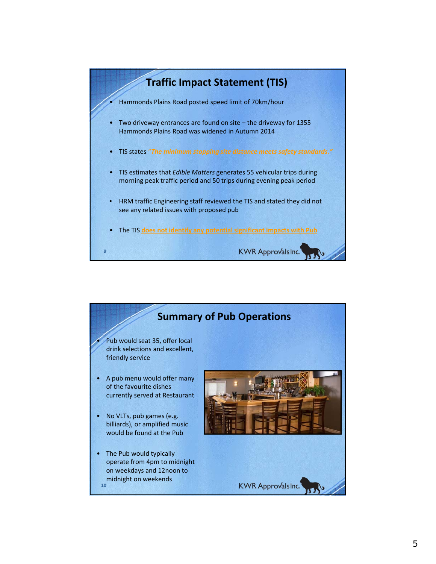